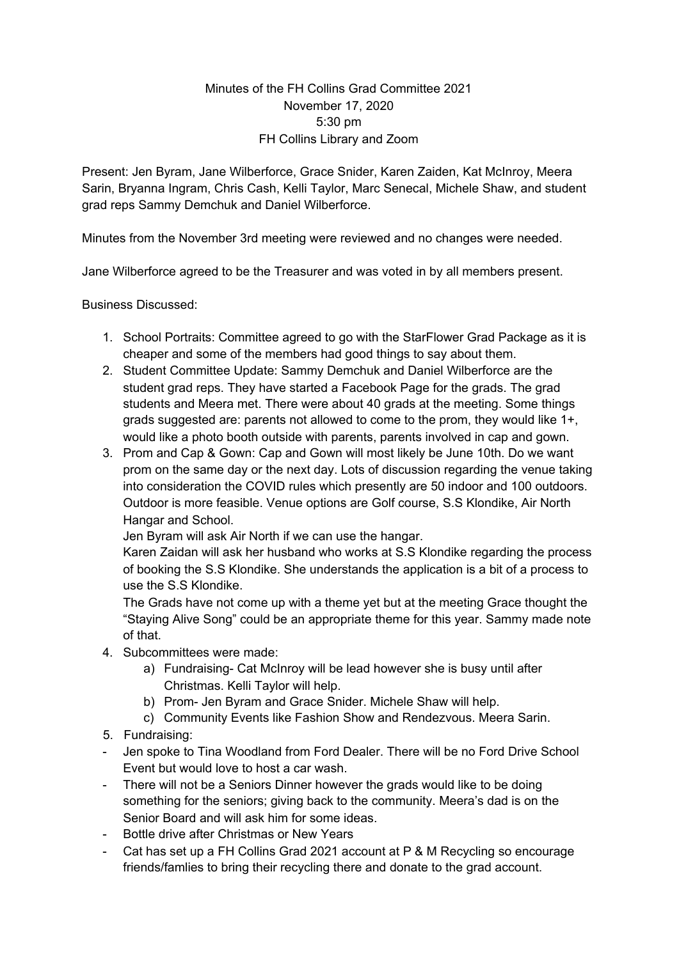## Minutes of the FH Collins Grad Committee 2021 November 17, 2020 5:30 pm FH Collins Library and Zoom

Present: Jen Byram, Jane Wilberforce, Grace Snider, Karen Zaiden, Kat McInroy, Meera Sarin, Bryanna Ingram, Chris Cash, Kelli Taylor, Marc Senecal, Michele Shaw, and student grad reps Sammy Demchuk and Daniel Wilberforce.

Minutes from the November 3rd meeting were reviewed and no changes were needed.

Jane Wilberforce agreed to be the Treasurer and was voted in by all members present.

Business Discussed:

- 1. School Portraits: Committee agreed to go with the StarFlower Grad Package as it is cheaper and some of the members had good things to say about them.
- 2. Student Committee Update: Sammy Demchuk and Daniel Wilberforce are the student grad reps. They have started a Facebook Page for the grads. The grad students and Meera met. There were about 40 grads at the meeting. Some things grads suggested are: parents not allowed to come to the prom, they would like 1+, would like a photo booth outside with parents, parents involved in cap and gown.
- 3. Prom and Cap & Gown: Cap and Gown will most likely be June 10th. Do we want prom on the same day or the next day. Lots of discussion regarding the venue taking into consideration the COVID rules which presently are 50 indoor and 100 outdoors. Outdoor is more feasible. Venue options are Golf course, S.S Klondike, Air North Hangar and School.

Jen Byram will ask Air North if we can use the hangar.

Karen Zaidan will ask her husband who works at S.S Klondike regarding the process of booking the S.S Klondike. She understands the application is a bit of a process to use the S.S Klondike.

The Grads have not come up with a theme yet but at the meeting Grace thought the "Staying Alive Song" could be an appropriate theme for this year. Sammy made note of that.

- 4. Subcommittees were made:
	- a) Fundraising- Cat McInroy will be lead however she is busy until after Christmas. Kelli Taylor will help.
	- b) Prom- Jen Byram and Grace Snider. Michele Shaw will help.
	- c) Community Events like Fashion Show and Rendezvous. Meera Sarin.
- 5. Fundraising:
- Jen spoke to Tina Woodland from Ford Dealer. There will be no Ford Drive School Event but would love to host a car wash.
- There will not be a Seniors Dinner however the grads would like to be doing something for the seniors; giving back to the community. Meera's dad is on the Senior Board and will ask him for some ideas.
- Bottle drive after Christmas or New Years
- Cat has set up a FH Collins Grad 2021 account at P & M Recycling so encourage friends/famlies to bring their recycling there and donate to the grad account.